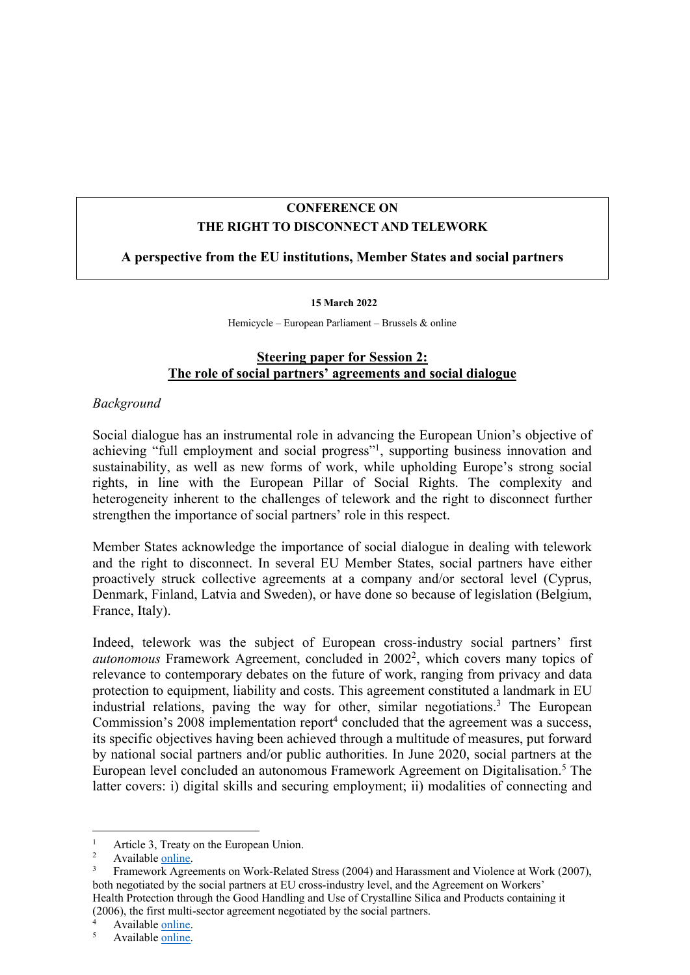# **CONFERENCE ON THE RIGHT TO DISCONNECT AND TELEWORK**

## **A perspective from the EU institutions, Member States and social partners**

#### **15 March 2022**

Hemicycle – European Parliament – Brussels & online

## **Steering paper for Session 2: The role of social partners' agreements and social dialogue**

### *Background*

Social dialogue has an instrumental role in advancing the European Union's objective of achieving "full employment and social progress"1, supporting business innovation and sustainability, as well as new forms of work, while upholding Europe's strong social rights, in line with the European Pillar of Social Rights. The complexity and heterogeneity inherent to the challenges of telework and the right to disconnect further strengthen the importance of social partners' role in this respect.

Member States acknowledge the importance of social dialogue in dealing with telework and the right to disconnect. In several EU Member States, social partners have either proactively struck collective agreements at a company and/or sectoral level (Cyprus, Denmark, Finland, Latvia and Sweden), or have done so because of legislation (Belgium, France, Italy).

Indeed, telework was the subject of European cross-industry social partners' first *autonomous* Framework Agreement, concluded in 2002<sup>2</sup>, which covers many topics of relevance to contemporary debates on the future of work, ranging from privacy and data protection to equipment, liability and costs. This agreement constituted a landmark in EU industrial relations, paving the way for other, similar negotiations.3 The European Commission's  $2008$  implementation report<sup>4</sup> concluded that the agreement was a success, its specific objectives having been achieved through a multitude of measures, put forward by national social partners and/or public authorities. In June 2020, social partners at the European level concluded an autonomous Framework Agreement on Digitalisation. <sup>5</sup> The latter covers: i) digital skills and securing employment; ii) modalities of connecting and

<sup>&</sup>lt;sup>1</sup> Article 3, Treaty on the European Union.<br><sup>2</sup> Available <u>online</u>.<br><sup>3</sup> Enganguagh Agriculta an Work Belates

<sup>3</sup> Framework Agreements on Work-Related Stress (2004) and Harassment and Violence at Work (2007), both negotiated by the social partners at EU cross-industry level, and the Agreement on Workers' Health Protection through the Good Handling and Use of Crystalline Silica and Products containing it (2006), the first multi-sector agreement negotiated by the social partners.

 $4$  Available <u>online</u>.<br>5 Available online.